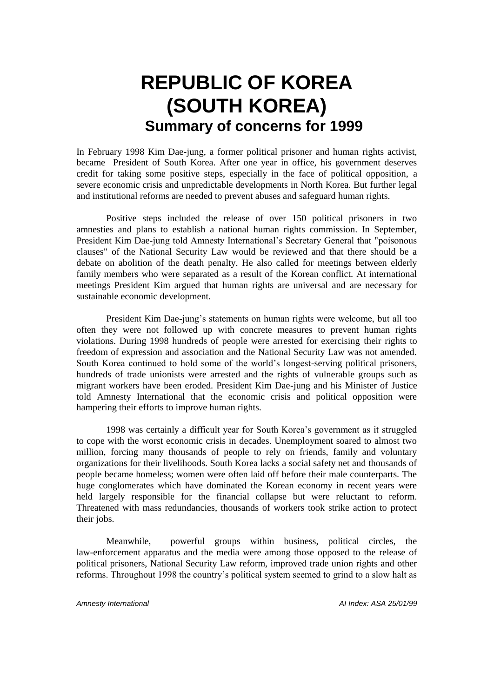# **REPUBLIC OF KOREA (SOUTH KOREA) Summary of concerns for 1999**

In February 1998 Kim Dae-jung, a former political prisoner and human rights activist, became President of South Korea. After one year in office, his government deserves credit for taking some positive steps, especially in the face of political opposition, a severe economic crisis and unpredictable developments in North Korea. But further legal and institutional reforms are needed to prevent abuses and safeguard human rights.

Positive steps included the release of over 150 political prisoners in two amnesties and plans to establish a national human rights commission. In September, President Kim Dae-jung told Amnesty International's Secretary General that "poisonous clauses" of the National Security Law would be reviewed and that there should be a debate on abolition of the death penalty. He also called for meetings between elderly family members who were separated as a result of the Korean conflict. At international meetings President Kim argued that human rights are universal and are necessary for sustainable economic development.

President Kim Dae-jung's statements on human rights were welcome, but all too often they were not followed up with concrete measures to prevent human rights violations. During 1998 hundreds of people were arrested for exercising their rights to freedom of expression and association and the National Security Law was not amended. South Korea continued to hold some of the world's longest-serving political prisoners, hundreds of trade unionists were arrested and the rights of vulnerable groups such as migrant workers have been eroded. President Kim Dae-jung and his Minister of Justice told Amnesty International that the economic crisis and political opposition were hampering their efforts to improve human rights.

1998 was certainly a difficult year for South Korea's government as it struggled to cope with the worst economic crisis in decades. Unemployment soared to almost two million, forcing many thousands of people to rely on friends, family and voluntary organizations for their livelihoods. South Korea lacks a social safety net and thousands of people became homeless; women were often laid off before their male counterparts. The huge conglomerates which have dominated the Korean economy in recent years were held largely responsible for the financial collapse but were reluctant to reform. Threatened with mass redundancies, thousands of workers took strike action to protect their jobs.

Meanwhile, powerful groups within business, political circles, the law-enforcement apparatus and the media were among those opposed to the release of political prisoners, National Security Law reform, improved trade union rights and other reforms. Throughout 1998 the country's political system seemed to grind to a slow halt as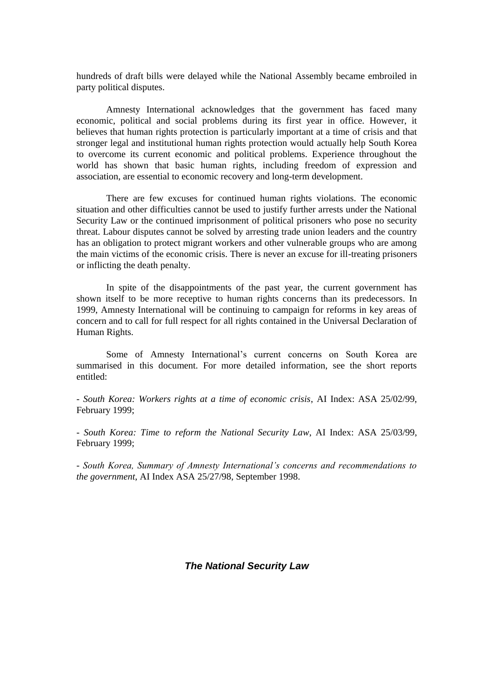hundreds of draft bills were delayed while the National Assembly became embroiled in party political disputes.

Amnesty International acknowledges that the government has faced many economic, political and social problems during its first year in office. However, it believes that human rights protection is particularly important at a time of crisis and that stronger legal and institutional human rights protection would actually help South Korea to overcome its current economic and political problems. Experience throughout the world has shown that basic human rights, including freedom of expression and association, are essential to economic recovery and long-term development.

There are few excuses for continued human rights violations. The economic situation and other difficulties cannot be used to justify further arrests under the National Security Law or the continued imprisonment of political prisoners who pose no security threat. Labour disputes cannot be solved by arresting trade union leaders and the country has an obligation to protect migrant workers and other vulnerable groups who are among the main victims of the economic crisis. There is never an excuse for ill-treating prisoners or inflicting the death penalty.

In spite of the disappointments of the past year, the current government has shown itself to be more receptive to human rights concerns than its predecessors. In 1999, Amnesty International will be continuing to campaign for reforms in key areas of concern and to call for full respect for all rights contained in the Universal Declaration of Human Rights.

Some of Amnesty International's current concerns on South Korea are summarised in this document. For more detailed information, see the short reports entitled:

- *South Korea: Workers rights at a time of economic crisis*, AI Index: ASA 25/02/99, February 1999;

- *South Korea: Time to reform the National Security Law*, AI Index: ASA 25/03/99, February 1999;

*- South Korea, Summary of Amnesty International's concerns and recommendations to the government*, AI Index ASA 25/27/98, September 1998.

*The National Security Law*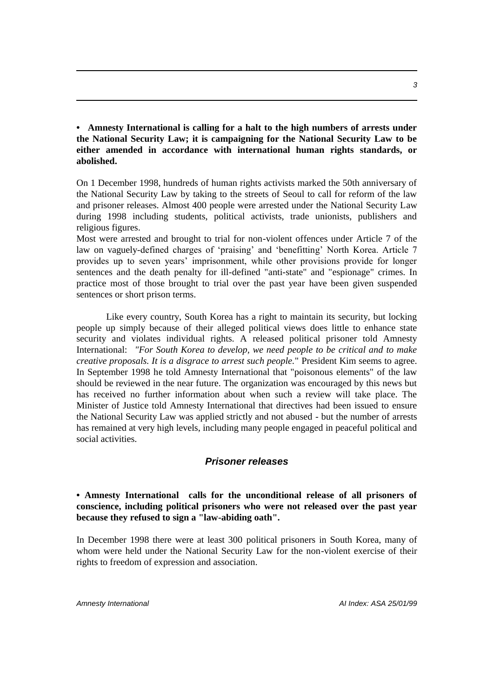**• Amnesty International is calling for a halt to the high numbers of arrests under the National Security Law; it is campaigning for the National Security Law to be either amended in accordance with international human rights standards, or abolished.**

On 1 December 1998, hundreds of human rights activists marked the 50th anniversary of the National Security Law by taking to the streets of Seoul to call for reform of the law and prisoner releases. Almost 400 people were arrested under the National Security Law during 1998 including students, political activists, trade unionists, publishers and religious figures.

Most were arrested and brought to trial for non-violent offences under Article 7 of the law on vaguely-defined charges of 'praising' and 'benefitting' North Korea. Article 7 provides up to seven years' imprisonment, while other provisions provide for longer sentences and the death penalty for ill-defined "anti-state" and "espionage" crimes. In practice most of those brought to trial over the past year have been given suspended sentences or short prison terms.

Like every country, South Korea has a right to maintain its security, but locking people up simply because of their alleged political views does little to enhance state security and violates individual rights. A released political prisoner told Amnesty International: *"For South Korea to develop, we need people to be critical and to make creative proposals. It is a disgrace to arrest such people.*" President Kim seems to agree. In September 1998 he told Amnesty International that "poisonous elements" of the law should be reviewed in the near future. The organization was encouraged by this news but has received no further information about when such a review will take place. The Minister of Justice told Amnesty International that directives had been issued to ensure the National Security Law was applied strictly and not abused - but the number of arrests has remained at very high levels, including many people engaged in peaceful political and social activities.

# *Prisoner releases*

# **• Amnesty International calls for the unconditional release of all prisoners of conscience, including political prisoners who were not released over the past year because they refused to sign a "law-abiding oath".**

In December 1998 there were at least 300 political prisoners in South Korea, many of whom were held under the National Security Law for the non-violent exercise of their rights to freedom of expression and association.

*Amnesty International AI Index: ASA 25/01/99*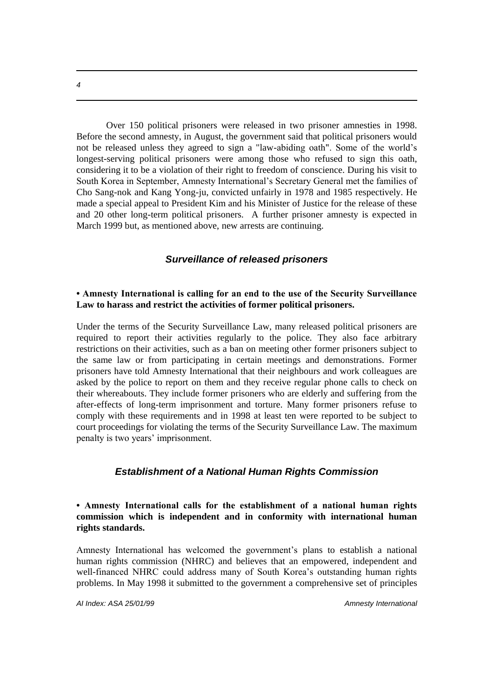Over 150 political prisoners were released in two prisoner amnesties in 1998. Before the second amnesty, in August, the government said that political prisoners would not be released unless they agreed to sign a "law-abiding oath". Some of the world's longest-serving political prisoners were among those who refused to sign this oath, considering it to be a violation of their right to freedom of conscience. During his visit to South Korea in September, Amnesty International's Secretary General met the families of Cho Sang-nok and Kang Yong-ju, convicted unfairly in 1978 and 1985 respectively. He made a special appeal to President Kim and his Minister of Justice for the release of these and 20 other long-term political prisoners. A further prisoner amnesty is expected in March 1999 but, as mentioned above, new arrests are continuing.

# *Surveillance of released prisoners*

#### **• Amnesty International is calling for an end to the use of the Security Surveillance Law to harass and restrict the activities of former political prisoners.**

Under the terms of the Security Surveillance Law, many released political prisoners are required to report their activities regularly to the police. They also face arbitrary restrictions on their activities, such as a ban on meeting other former prisoners subject to the same law or from participating in certain meetings and demonstrations. Former prisoners have told Amnesty International that their neighbours and work colleagues are asked by the police to report on them and they receive regular phone calls to check on their whereabouts. They include former prisoners who are elderly and suffering from the after-effects of long-term imprisonment and torture. Many former prisoners refuse to comply with these requirements and in 1998 at least ten were reported to be subject to court proceedings for violating the terms of the Security Surveillance Law. The maximum penalty is two years' imprisonment.

#### *Establishment of a National Human Rights Commission*

**• Amnesty International calls for the establishment of a national human rights commission which is independent and in conformity with international human rights standards.** 

Amnesty International has welcomed the government's plans to establish a national human rights commission (NHRC) and believes that an empowered, independent and well-financed NHRC could address many of South Korea's outstanding human rights problems. In May 1998 it submitted to the government a comprehensive set of principles

*AI Index: ASA 25/01/99 Amnesty International* 

*4*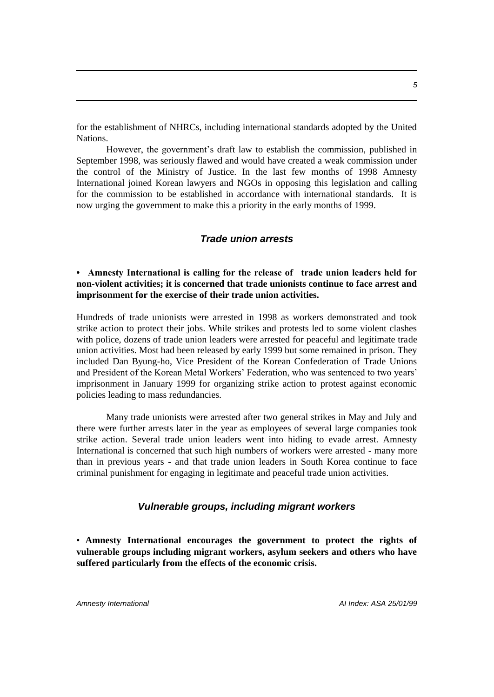for the establishment of NHRCs, including international standards adopted by the United Nations.

However, the government's draft law to establish the commission, published in September 1998, was seriously flawed and would have created a weak commission under the control of the Ministry of Justice. In the last few months of 1998 Amnesty International joined Korean lawyers and NGOs in opposing this legislation and calling for the commission to be established in accordance with international standards. It is now urging the government to make this a priority in the early months of 1999.

#### *Trade union arrests*

**• Amnesty International is calling for the release of trade union leaders held for non-violent activities; it is concerned that trade unionists continue to face arrest and imprisonment for the exercise of their trade union activities.**

Hundreds of trade unionists were arrested in 1998 as workers demonstrated and took strike action to protect their jobs. While strikes and protests led to some violent clashes with police, dozens of trade union leaders were arrested for peaceful and legitimate trade union activities. Most had been released by early 1999 but some remained in prison. They included Dan Byung-ho, Vice President of the Korean Confederation of Trade Unions and President of the Korean Metal Workers' Federation, who was sentenced to two years' imprisonment in January 1999 for organizing strike action to protest against economic policies leading to mass redundancies.

Many trade unionists were arrested after two general strikes in May and July and there were further arrests later in the year as employees of several large companies took strike action. Several trade union leaders went into hiding to evade arrest. Amnesty International is concerned that such high numbers of workers were arrested - many more than in previous years - and that trade union leaders in South Korea continue to face criminal punishment for engaging in legitimate and peaceful trade union activities.

#### *Vulnerable groups, including migrant workers*

• **Amnesty International encourages the government to protect the rights of vulnerable groups including migrant workers, asylum seekers and others who have suffered particularly from the effects of the economic crisis.**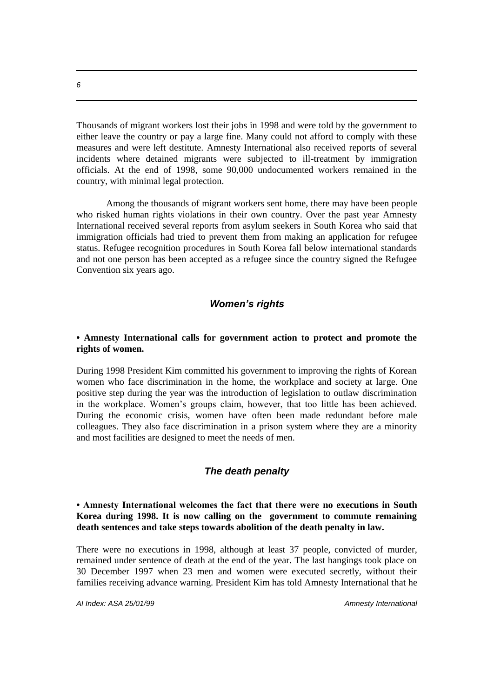Thousands of migrant workers lost their jobs in 1998 and were told by the government to either leave the country or pay a large fine. Many could not afford to comply with these measures and were left destitute. Amnesty International also received reports of several incidents where detained migrants were subjected to ill-treatment by immigration officials. At the end of 1998, some 90,000 undocumented workers remained in the country, with minimal legal protection.

Among the thousands of migrant workers sent home, there may have been people who risked human rights violations in their own country. Over the past year Amnesty International received several reports from asylum seekers in South Korea who said that immigration officials had tried to prevent them from making an application for refugee status. Refugee recognition procedures in South Korea fall below international standards and not one person has been accepted as a refugee since the country signed the Refugee Convention six years ago.

# *Women's rights*

#### **• Amnesty International calls for government action to protect and promote the rights of women.**

During 1998 President Kim committed his government to improving the rights of Korean women who face discrimination in the home, the workplace and society at large. One positive step during the year was the introduction of legislation to outlaw discrimination in the workplace. Women's groups claim, however, that too little has been achieved. During the economic crisis, women have often been made redundant before male colleagues. They also face discrimination in a prison system where they are a minority and most facilities are designed to meet the needs of men.

#### *The death penalty*

#### **• Amnesty International welcomes the fact that there were no executions in South Korea during 1998. It is now calling on the government to commute remaining death sentences and take steps towards abolition of the death penalty in law.**

There were no executions in 1998, although at least 37 people, convicted of murder, remained under sentence of death at the end of the year. The last hangings took place on 30 December 1997 when 23 men and women were executed secretly, without their families receiving advance warning. President Kim has told Amnesty International that he

*AI Index: ASA 25/01/99 Amnesty International* 

*6*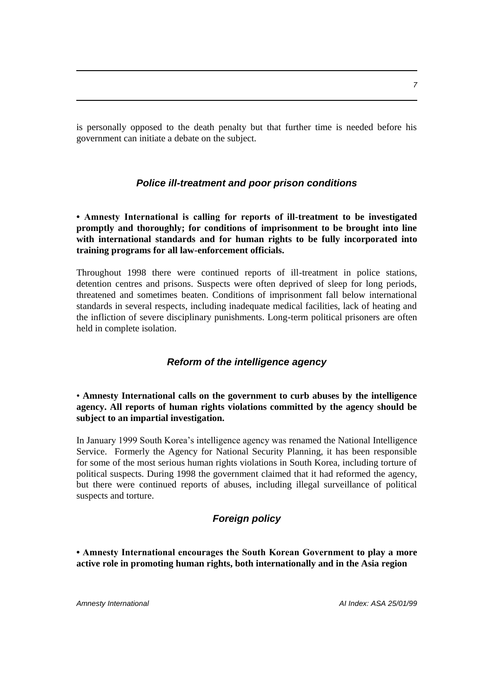is personally opposed to the death penalty but that further time is needed before his government can initiate a debate on the subject.

# *Police ill-treatment and poor prison conditions*

**• Amnesty International is calling for reports of ill-treatment to be investigated promptly and thoroughly; for conditions of imprisonment to be brought into line with international standards and for human rights to be fully incorporated into training programs for all law-enforcement officials.**

Throughout 1998 there were continued reports of ill-treatment in police stations, detention centres and prisons. Suspects were often deprived of sleep for long periods, threatened and sometimes beaten. Conditions of imprisonment fall below international standards in several respects, including inadequate medical facilities, lack of heating and the infliction of severe disciplinary punishments. Long-term political prisoners are often held in complete isolation.

# *Reform of the intelligence agency*

• **Amnesty International calls on the government to curb abuses by the intelligence agency. All reports of human rights violations committed by the agency should be subject to an impartial investigation.**

In January 1999 South Korea's intelligence agency was renamed the National Intelligence Service. Formerly the Agency for National Security Planning, it has been responsible for some of the most serious human rights violations in South Korea, including torture of political suspects. During 1998 the government claimed that it had reformed the agency, but there were continued reports of abuses, including illegal surveillance of political suspects and torture.

# *Foreign policy*

**• Amnesty International encourages the South Korean Government to play a more active role in promoting human rights, both internationally and in the Asia region**

*Amnesty International AI Index: ASA 25/01/99*